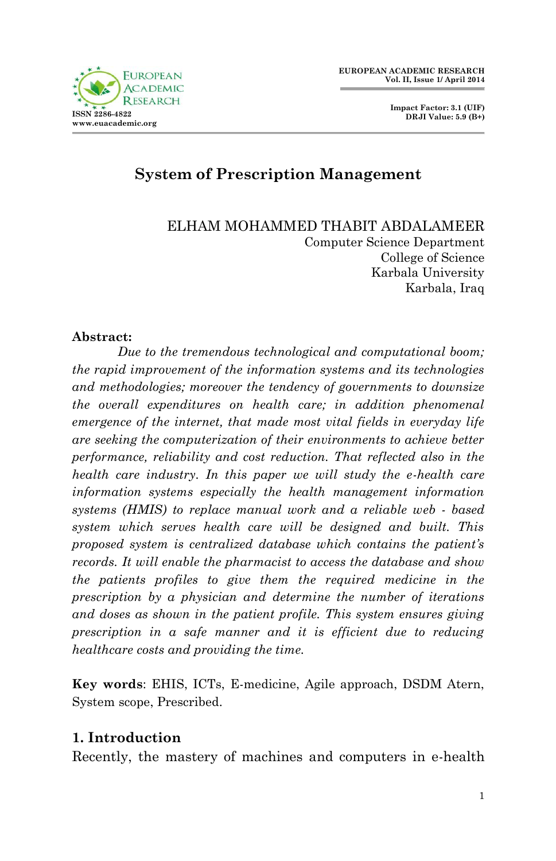



# **System of Prescription Management**

ELHAM MOHAMMED THABIT ABDALAMEER Computer Science Department College of Science Karbala University Karbala, Iraq

#### **Abstract:**

*Due to the tremendous technological and computational boom; the rapid improvement of the information systems and its technologies and methodologies; moreover the tendency of governments to downsize the overall expenditures on health care; in addition phenomenal emergence of the internet, that made most vital fields in everyday life are seeking the computerization of their environments to achieve better performance, reliability and cost reduction. That reflected also in the health care industry. In this paper we will study the e-health care information systems especially the health management information systems (HMIS) to replace manual work and a reliable web - based system which serves health care will be designed and built. This proposed system is centralized database which contains the patient's records. It will enable the pharmacist to access the database and show the patients profiles to give them the required medicine in the prescription by a physician and determine the number of iterations and doses as shown in the patient profile. This system ensures giving prescription in a safe manner and it is efficient due to reducing healthcare costs and providing the time.*

**Key words**: EHIS, ICTs, E-medicine, Agile approach, DSDM Atern, System scope, Prescribed.

### **1. Introduction**

Recently, the mastery of machines and computers in e-health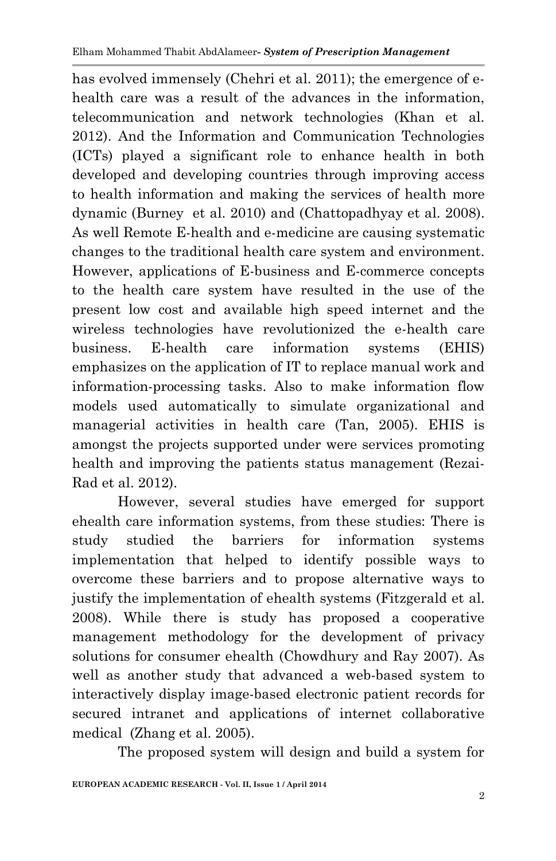has evolved immensely (Chehri et al. 2011); the emergence of ehealth care was a result of the advances in the information. telecommunication and network technologies (Khan et al. 2012). And the Information and Communication Technologies (ICTs) played a significant role to enhance health in both developed and developing countries through improving access to health information and making the services of health more dynamic (Burney et al. 2010) and (Chattopadhyay et al. 2008). As well Remote E-health and e-medicine are causing systematic changes to the traditional health care system and environment. However, applications of E-business and E-commerce concepts to the health care system have resulted in the use of the present low cost and available high speed internet and the wireless technologies have revolutionized the e-health care business. E-health care information systems (EHIS) emphasizes on the application of IT to replace manual work and information-processing tasks. Also to make information flow models used automatically to simulate organizational and managerial activities in health care (Tan, 2005). EHIS is amongst the projects supported under were services promoting health and improving the patients status management (Rezai-Rad et al. 2012).

However, several studies have emerged for support ehealth care information systems, from these studies: There is study studied the barriers for information systems implementation that helped to identify possible ways to overcome these barriers and to propose alternative ways to justify the implementation of ehealth systems (Fitzgerald et al. 2008). While there is study has proposed a cooperative management methodology for the development of privacy solutions for consumer ehealth (Chowdhury and Ray 2007). As well as another study that advanced a web-based system to interactively display image-based electronic patient records for secured intranet and applications of internet collaborative medical (Zhang et al. 2005).

The proposed system will design and build a system for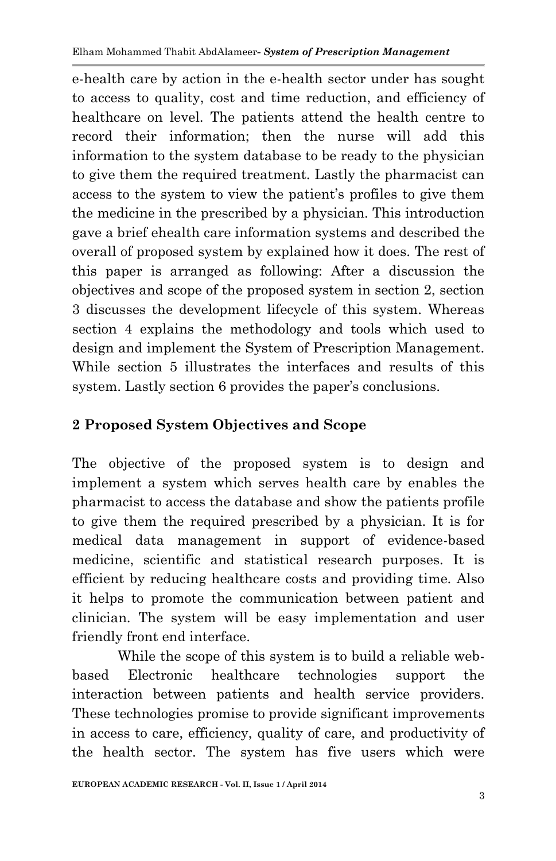e-health care by action in the e-health sector under has sought to access to quality, cost and time reduction, and efficiency of healthcare on level. The patients attend the health centre to record their information; then the nurse will add this information to the system database to be ready to the physician to give them the required treatment. Lastly the pharmacist can access to the system to view the patient's profiles to give them the medicine in the prescribed by a physician. This introduction gave a brief ehealth care information systems and described the overall of proposed system by explained how it does. The rest of this paper is arranged as following: After a discussion the objectives and scope of the proposed system in section 2, section 3 discusses the development lifecycle of this system. Whereas section 4 explains the methodology and tools which used to design and implement the System of Prescription Management. While section 5 illustrates the interfaces and results of this system. Lastly section 6 provides the paper's conclusions.

# **2 Proposed System Objectives and Scope**

The objective of the proposed system is to design and implement a system which serves health care by enables the pharmacist to access the database and show the patients profile to give them the required prescribed by a physician. It is for medical data management in support of evidence-based medicine, scientific and statistical research purposes. It is efficient by reducing healthcare costs and providing time. Also it helps to promote the communication between patient and clinician. The system will be easy implementation and user friendly front end interface.

While the scope of this system is to build a reliable webbased Electronic healthcare technologies support the interaction between patients and health service providers. These technologies promise to provide significant improvements in access to care, efficiency, quality of care, and productivity of the health sector. The system has five users which were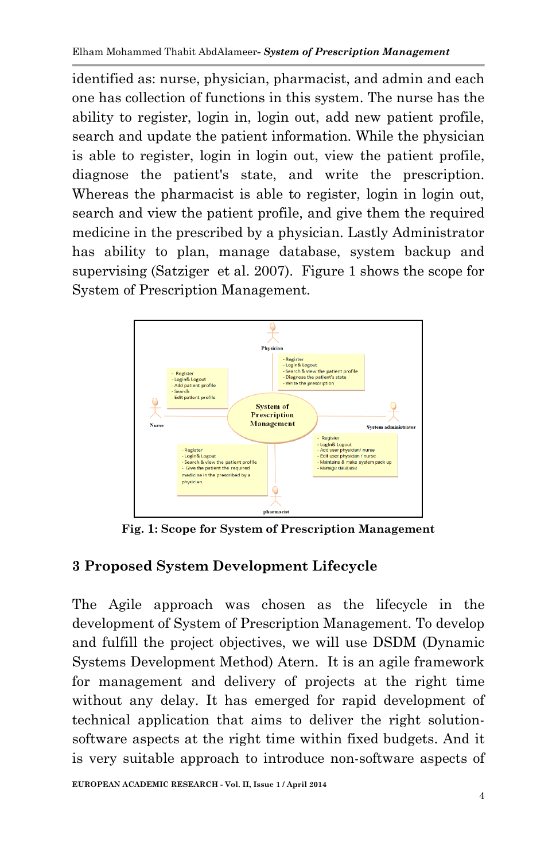identified as: nurse, physician, pharmacist, and admin and each one has collection of functions in this system. The nurse has the ability to register, login in, login out, add new patient profile, search and update the patient information. While the physician is able to register, login in login out, view the patient profile, diagnose the patient's state, and write the prescription. Whereas the pharmacist is able to register, login in login out, search and view the patient profile, and give them the required medicine in the prescribed by a physician. Lastly Administrator has ability to plan, manage database, system backup and supervising (Satziger et al. 2007). Figure 1 shows the scope for System of Prescription Management.



**Fig. 1: Scope for System of Prescription Management**

## **3 Proposed System Development Lifecycle**

The Agile approach was chosen as the lifecycle in the development of System of Prescription Management. To develop and fulfill the project objectives, we will use DSDM (Dynamic Systems Development Method) Atern. It is an agile framework for management and delivery of projects at the right time without any delay. It has emerged for rapid development of technical application that aims to deliver the right solutionsoftware aspects at the right time within fixed budgets. And it is very suitable approach to introduce non-software aspects of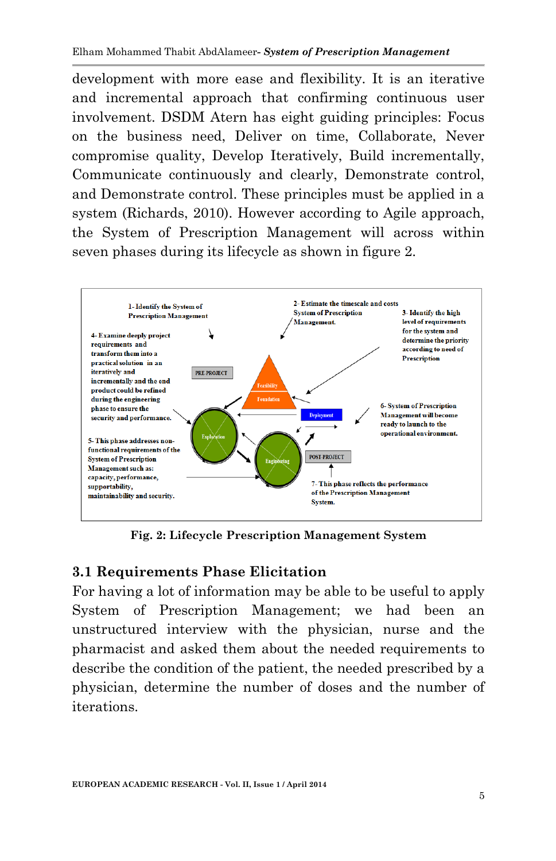development with more ease and flexibility. It is an iterative and incremental approach that confirming continuous user involvement. DSDM Atern has eight guiding principles: Focus on the business need, Deliver on time, Collaborate, Never compromise quality, Develop Iteratively, Build incrementally, Communicate continuously and clearly, Demonstrate control, and Demonstrate control. These principles must be applied in a system (Richards, 2010). However according to Agile approach, the System of Prescription Management will across within seven phases during its lifecycle as shown in figure 2.



**Fig. 2: Lifecycle Prescription Management System**

### **3.1 Requirements Phase Elicitation**

For having a lot of information may be able to be useful to apply System of Prescription Management; we had been an unstructured interview with the physician, nurse and the pharmacist and asked them about the needed requirements to describe the condition of the patient, the needed prescribed by a physician, determine the number of doses and the number of iterations.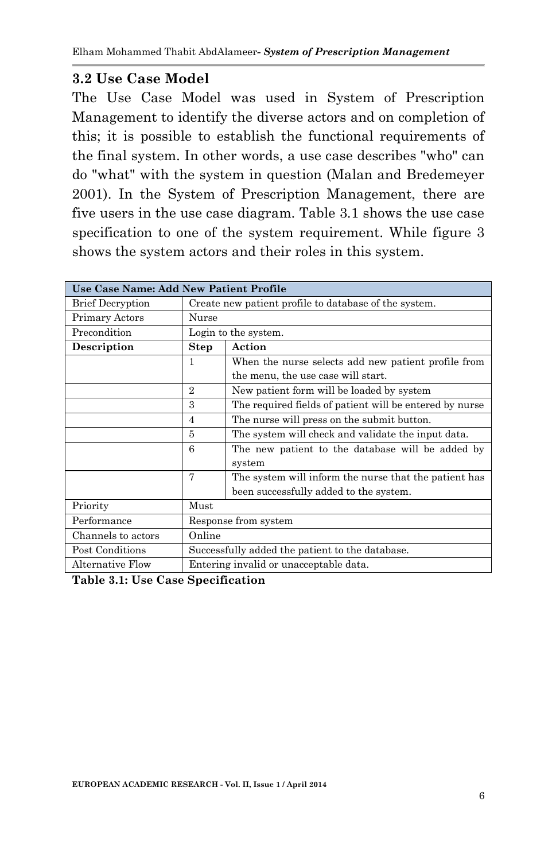### **3.2 Use Case Model**

The Use Case Model was used in System of Prescription Management to identify the diverse actors and on completion of this; it is possible to establish the functional requirements of the final system. In other words, a use case describes "who" can do "what" with the system in question (Malan and Bredemeyer 2001). In the System of Prescription Management, there are five users in the use case diagram. Table 3.1 shows the use case specification to one of the system requirement. While figure 3 shows the system actors and their roles in this system.

| Use Case Name: Add New Patient Profile |                |                                                         |
|----------------------------------------|----------------|---------------------------------------------------------|
| <b>Brief Decryption</b>                |                | Create new patient profile to database of the system.   |
| Primary Actors                         | Nurse          |                                                         |
| Precondition                           |                | Login to the system.                                    |
| Description                            | Step           | Action                                                  |
|                                        | 1              | When the nurse selects add new patient profile from     |
|                                        |                | the menu, the use case will start.                      |
|                                        | $\overline{2}$ | New patient form will be loaded by system               |
|                                        | 3              | The required fields of patient will be entered by nurse |
|                                        | 4              | The nurse will press on the submit button.              |
|                                        | 5              | The system will check and validate the input data.      |
|                                        | 6              | The new patient to the database will be added by        |
|                                        |                | system                                                  |
|                                        | 7              | The system will inform the nurse that the patient has   |
|                                        |                | been successfully added to the system.                  |
| Priority                               | Must           |                                                         |
| Performance                            |                | Response from system                                    |
| Channels to actors                     | Online         |                                                         |
| Post Conditions                        |                | Successfully added the patient to the database.         |
| Alternative Flow                       |                | Entering invalid or unacceptable data.                  |

**Table 3.1: Use Case Specification**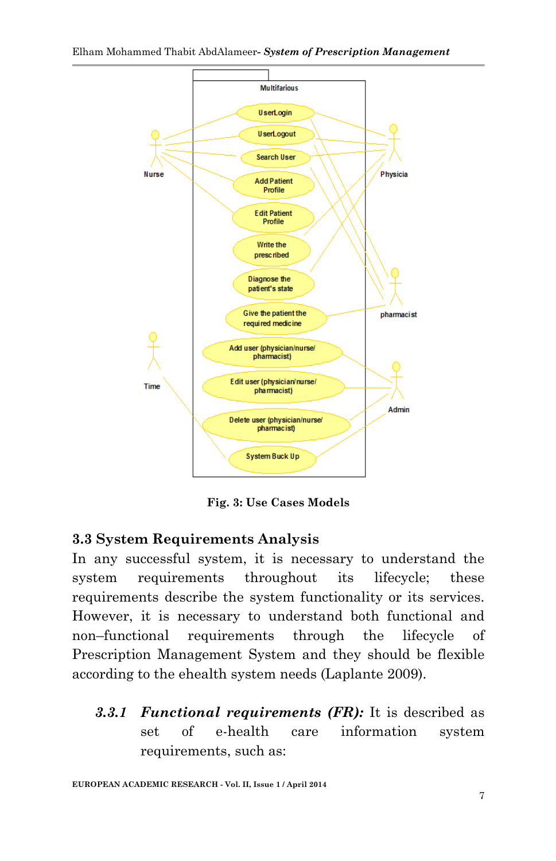

**Fig. 3: Use Cases Models**

### **3.3 System Requirements Analysis**

In any successful system, it is necessary to understand the system requirements throughout its lifecycle; these requirements describe the system functionality or its services. However, it is necessary to understand both functional and non–functional requirements through the lifecycle of Prescription Management System and they should be flexible according to the ehealth system needs (Laplante 2009).

*3.3.1 Functional requirements (FR):* It is described as set of e-health care information system requirements, such as:

**EUROPEAN ACADEMIC RESEARCH - Vol. II, Issue 1 / April 2014**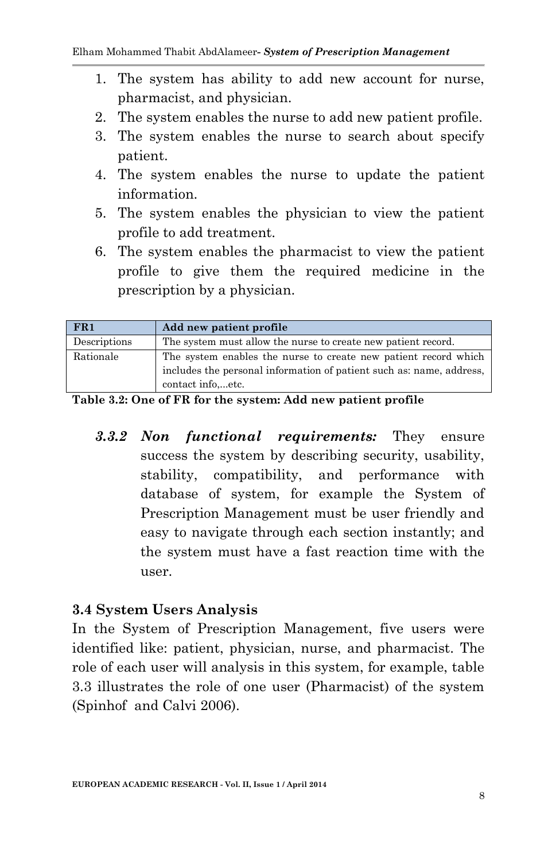- 1. The system has ability to add new account for nurse, pharmacist, and physician.
- 2. The system enables the nurse to add new patient profile.
- 3. The system enables the nurse to search about specify patient.
- 4. The system enables the nurse to update the patient information.
- 5. The system enables the physician to view the patient profile to add treatment.
- 6. The system enables the pharmacist to view the patient profile to give them the required medicine in the prescription by a physician.

| FR1          | Add new patient profile                                                                                                                                     |
|--------------|-------------------------------------------------------------------------------------------------------------------------------------------------------------|
| Descriptions | The system must allow the nurse to create new patient record.                                                                                               |
| Rationale    | The system enables the nurse to create new patient record which<br>includes the personal information of patient such as: name, address,<br>contact infoetc. |

**Table 3.2: One of FR for the system: Add new patient profile**

*3.3.2 Non functional requirements:* They ensure success the system by describing security, usability, stability, compatibility, and performance with database of system, for example the System of Prescription Management must be user friendly and easy to navigate through each section instantly; and the system must have a fast reaction time with the user.

### **3.4 System Users Analysis**

In the System of Prescription Management, five users were identified like: patient, physician, nurse, and pharmacist. The role of each user will analysis in this system, for example, table 3.3 illustrates the role of one user (Pharmacist) of the system (Spinhof and Calvi 2006).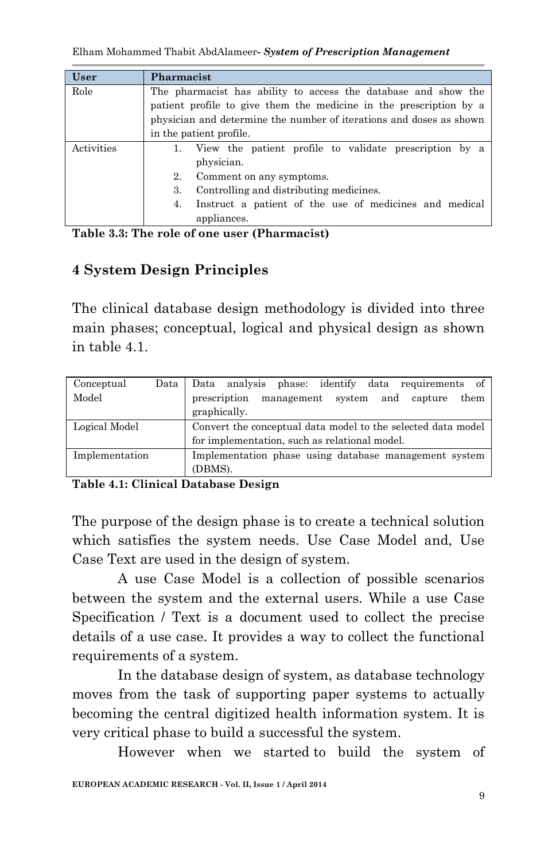| <b>User</b> | Pharmacist                                                          |
|-------------|---------------------------------------------------------------------|
| Role        | The pharmacist has ability to access the database and show the      |
|             | patient profile to give them the medicine in the prescription by a  |
|             | physician and determine the number of iterations and doses as shown |
|             | in the patient profile.                                             |
| Activities  | View the patient profile to validate prescription by a              |
|             | physician.                                                          |
|             | 2.<br>Comment on any symptoms.                                      |
|             | Controlling and distributing medicines.<br>3.                       |
|             | Instruct a patient of the use of medicines and medical<br>4.        |
|             | appliances.                                                         |

**Table 3.3: The role of one user (Pharmacist)**

# **4 System Design Principles**

The clinical database design methodology is divided into three main phases; conceptual, logical and physical design as shown in table 4.1.

| Conceptual     | Data | Data analysis phase: identify data requirements of           |
|----------------|------|--------------------------------------------------------------|
| Model          |      | prescription<br>them<br>management system<br>and capture     |
|                |      | graphically.                                                 |
| Logical Model  |      | Convert the conceptual data model to the selected data model |
|                |      | for implementation, such as relational model.                |
| Implementation |      | Implementation phase using database management system        |
|                |      | (DBMS).                                                      |

**Table 4.1: Clinical Database Design**

The purpose of the design phase is to create a technical solution which satisfies the system needs. Use Case Model and, Use Case Text are used in the design of system.

A use Case Model is a collection of possible scenarios between the system and the external users. While a use Case Specification / Text is a document used to collect the precise details of a use case. It provides a way to collect the functional requirements of a system.

In the database design of system, as database technology moves from the task of supporting paper systems to actually becoming the central digitized health information system. It is very critical phase to build a successful the system.

However when we started to build the system of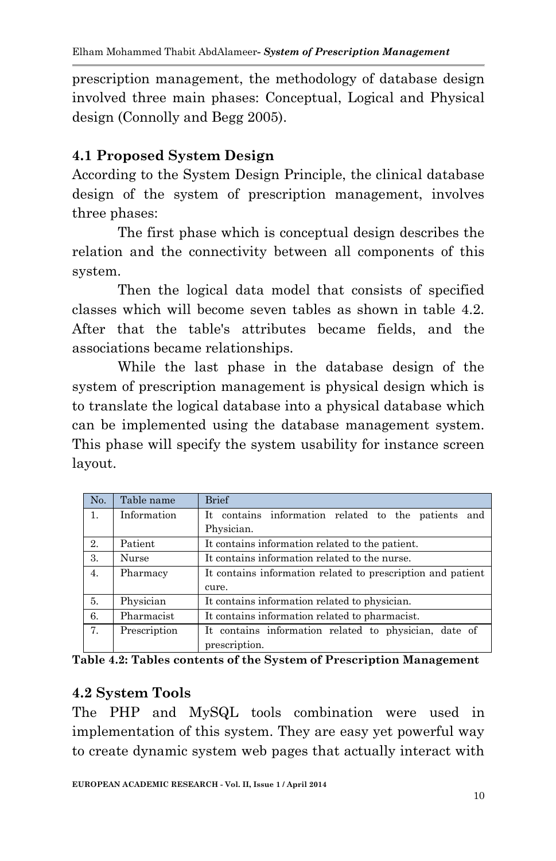prescription management, the methodology of database design involved three main phases: Conceptual, Logical and Physical design (Connolly and Begg 2005).

# **4.1 Proposed System Design**

According to the System Design Principle, the clinical database design of the system of prescription management, involves three phases:

The first phase which is conceptual design describes the relation and the connectivity between all components of this system.

Then the logical data model that consists of specified classes which will become seven tables as shown in table 4.2. After that the table's attributes became fields, and the associations became relationships.

While the last phase in the database design of the system of prescription management is physical design which is to translate the logical database into a physical database which can be implemented using the database management system. This phase will specify the system usability for instance screen layout.

| No. | Table name   | <b>Brief</b>                                                |
|-----|--------------|-------------------------------------------------------------|
| 1.  | Information  | It contains information related to the patients<br>and      |
|     |              | Physician.                                                  |
| 2.  | Patient      | It contains information related to the patient.             |
| 3.  | Nurse        | It contains information related to the nurse.               |
| 4.  | Pharmacy     | It contains information related to prescription and patient |
|     |              | cure.                                                       |
| 5.  | Physician    | It contains information related to physician.               |
| 6.  | Pharmacist   | It contains information related to pharmacist.              |
| 7.  | Prescription | It contains information related to physician, date of       |
|     |              | prescription.                                               |

**Table 4.2: Tables contents of the System of Prescription Management**

## **4.2 System Tools**

The PHP and MySQL tools combination were used in implementation of this system. They are easy yet powerful way to create dynamic system web pages that actually interact with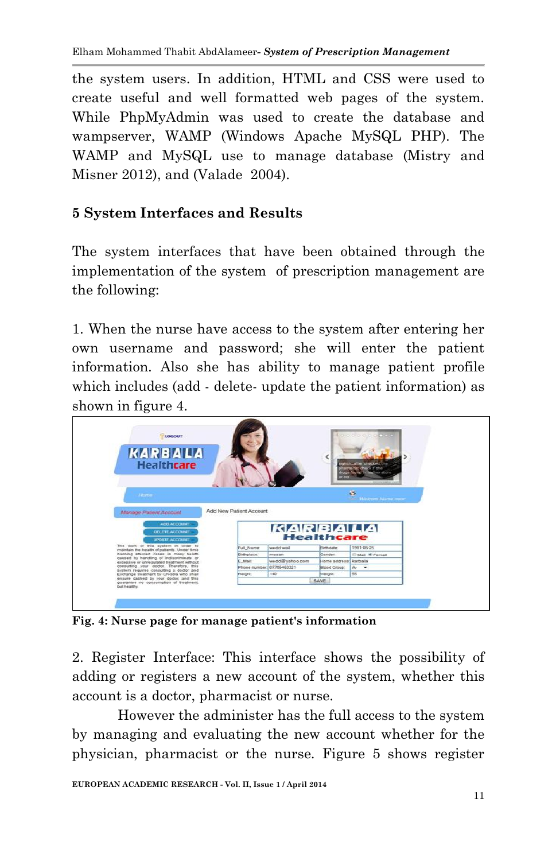the system users. In addition, HTML and CSS were used to create useful and well formatted web pages of the system. While PhpMyAdmin was used to create the database and wampserver, WAMP (Windows Apache MySQL PHP). The WAMP and MySQL use to manage database (Mistry and Misner 2012), and (Valade 2004).

## **5 System Interfaces and Results**

The system interfaces that have been obtained through the implementation of the system of prescription management are the following:

1. When the nurse have access to the system after entering her own username and password; she will enter the patient information. Also she has ability to manage patient profile which includes (add - delete- update the patient information) as shown in figure 4.



**Fig. 4: Nurse page for manage patient's information** 

2. Register Interface: This interface shows the possibility of adding or registers a new account of the system, whether this account is a doctor, pharmacist or nurse.

However the administer has the full access to the system by managing and evaluating the new account whether for the physician, pharmacist or the nurse. Figure 5 shows register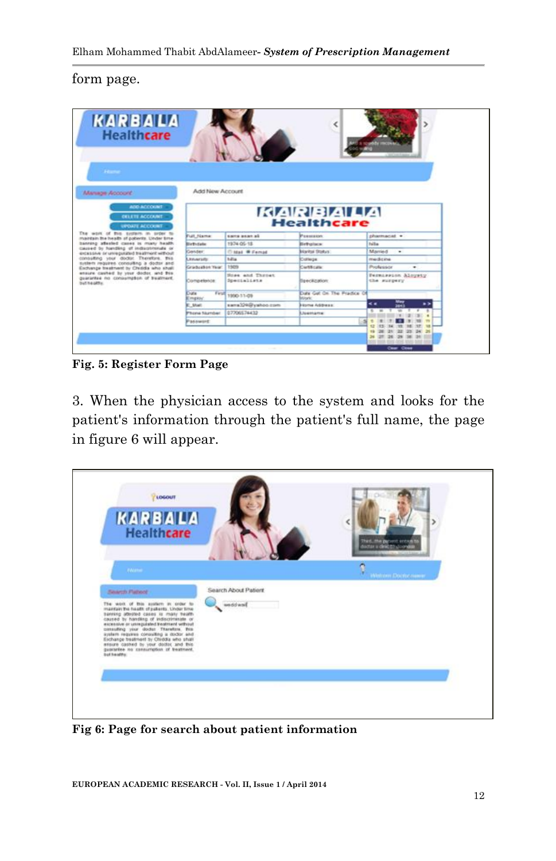#### form page.

| <b>KARBALA</b><br><b>Healthcare</b>                                                                |                                     |                                  |                                                |                                   |  |
|----------------------------------------------------------------------------------------------------|-------------------------------------|----------------------------------|------------------------------------------------|-----------------------------------|--|
| <b>State</b><br>Manage Account                                                                     | Add New Account                     |                                  |                                                |                                   |  |
| <b>ADD ACCOUNT</b><br><b>OKLETE ACCOUNT</b><br><b>UPOUTE ACCOUNT</b>                               | <b>KARBALA</b><br><b>Healthcare</b> |                                  |                                                |                                   |  |
| The work of this system in order to<br>maintain the health of poblerite. Under time                | Full Name:                          | sistem around ad-                | Peassance                                      | pharmacal .                       |  |
| banners affected cause in many health                                                              | Eis Tu Sala                         | 1974 05-18                       | Beholece                                       | <b>Builton</b>                    |  |
| cassed by handling of inductionula or<br>excessive or universities treatment without               | Gender                              | <b>Cittal Williamad</b>          | <b>Maritol Stokys</b>                          | Married<br>۰                      |  |
| consulting your doctor. Therefore, this<br>susters requires consulting a doctor and                | <b>Linuxrate</b>                    | <b>Million</b>                   | Dollarge                                       | medicine                          |  |
| Exchange treatment by Childfa who shall                                                            | Cradeabox Yaar                      | 1505                             | Certificate                                    | Prediction<br>۰                   |  |
| ensure cashed by your doctor, and fris-<br>quarantee no conquiriction of bustment.<br>but tealths. | Competibilitie                      | Steel and Throat.<br>Specialists | Teeckzaton                                     | Permanence Alegria<br>the surpery |  |
|                                                                                                    | Dute<br>Emekse                      | Fest 1800-11-09                  | Duty Gat On The Pitadice Of<br><b>Minurie:</b> |                                   |  |
|                                                                                                    | <b>C. Shart</b>                     | sans)24@yahoo.com                | <b>Nome Address:</b>                           | < .                               |  |
|                                                                                                    | <b>Phone Skynbar</b>                | 07200574432                      | <b>Usercane</b>                                |                                   |  |
|                                                                                                    | <b>Passwort</b>                     |                                  |                                                |                                   |  |
|                                                                                                    |                                     |                                  |                                                | Case: Close                       |  |

**Fig. 5: Register Form Page**

3. When the physician access to the system and looks for the patient's information through the patient's full name, the page in figure 6 will appear.



**Fig 6: Page for search about patient information**

**EUROPEAN ACADEMIC RESEARCH - Vol. II, Issue 1 / April 2014**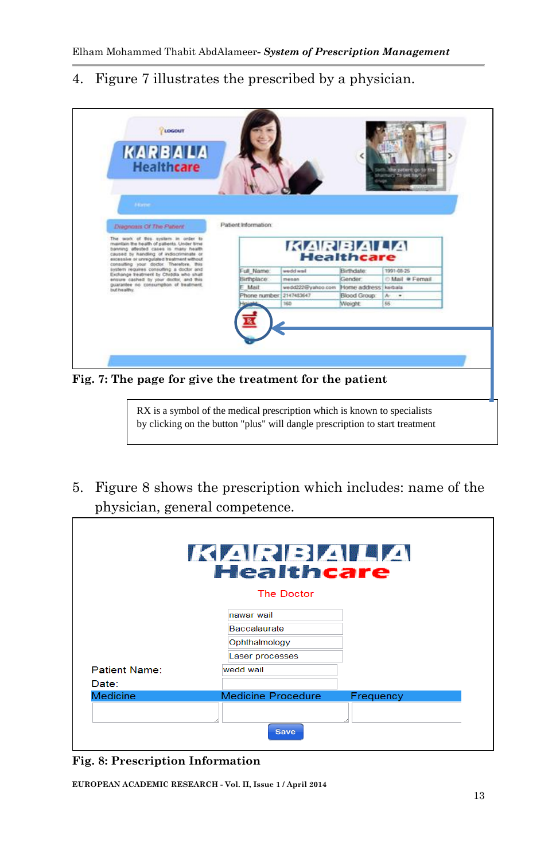4. Figure 7 illustrates the prescribed by a physician.



RX is a symbol of the medical prescription which is known to specialists by clicking on the button "plus" will dangle prescription to start treatment

5. Figure 8 shows the prescription which includes: name of the physician, general competence.

|                      | KARBALA<br><b>Healthcare</b> |           |
|----------------------|------------------------------|-----------|
|                      | The Doctor                   |           |
|                      | nawar wail                   |           |
|                      | <b>Baccalaurate</b>          |           |
|                      | Ophthalmology                |           |
|                      | Laser processes              |           |
| <b>Patient Name:</b> | wedd wail                    |           |
| Date:                |                              |           |
| <b>Medicine</b>      | <b>Medicine Procedure</b>    | Frequency |
|                      |                              |           |
|                      | <b>Save</b>                  |           |

**Fig. 8: Prescription Information**

**EUROPEAN ACADEMIC RESEARCH - Vol. II, Issue 1 / April 2014**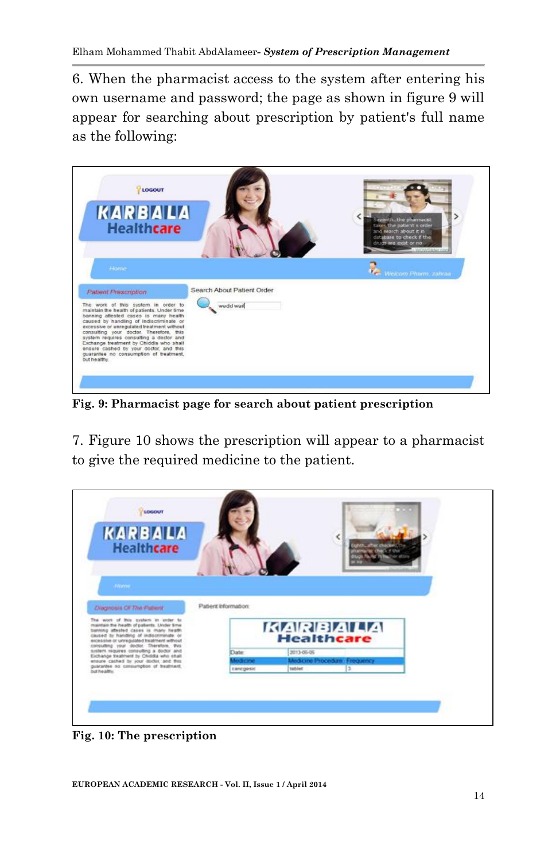6. When the pharmacist access to the system after entering his own username and password; the page as shown in figure 9 will appear for searching about prescription by patient's full name as the following:



**Fig. 9: Pharmacist page for search about patient prescription**

7. Figure 10 shows the prescription will appear to a pharmacist to give the required medicine to the patient.

| LOGOUT                                                                                                                                                                  |                      |             |                   |                              |  |
|-------------------------------------------------------------------------------------------------------------------------------------------------------------------------|----------------------|-------------|-------------------|------------------------------|--|
| <b>KARBALA</b>                                                                                                                                                          |                      |             |                   |                              |  |
|                                                                                                                                                                         |                      |             |                   |                              |  |
| <b>Healthcare</b>                                                                                                                                                       |                      |             |                   |                              |  |
|                                                                                                                                                                         |                      |             |                   |                              |  |
|                                                                                                                                                                         |                      |             |                   |                              |  |
|                                                                                                                                                                         |                      |             |                   |                              |  |
|                                                                                                                                                                         |                      |             |                   |                              |  |
| <b>Disgnosis OF The Patient</b>                                                                                                                                         | Patiers information: |             |                   |                              |  |
| The work of this custom in order to                                                                                                                                     |                      |             |                   |                              |  |
|                                                                                                                                                                         |                      |             |                   | <b>KARBALA</b>               |  |
| maintain the health of patients. Under time<br>banting attested cases is many health                                                                                    |                      |             |                   |                              |  |
| caused by handless of indiscriminate or<br>escessive or unregulated treatment without                                                                                   |                      |             | <b>Healthcare</b> |                              |  |
|                                                                                                                                                                         |                      | <b>Date</b> | 2013-05-05        |                              |  |
| consulting your doctor. Therefore, this<br>system requires consulting a doctor and<br>Exchange treatment by Chrodia who shall<br>ensure cashed by your doctor, and this |                      | Medicine    |                   | Medicine Procedure Frequency |  |
| guarantee no comsumption of treatment.<br>but healthy.                                                                                                                  |                      | Eanogesid   | tablet            |                              |  |
|                                                                                                                                                                         |                      |             |                   |                              |  |
|                                                                                                                                                                         |                      |             |                   |                              |  |
|                                                                                                                                                                         |                      |             |                   |                              |  |

**Fig. 10: The prescription**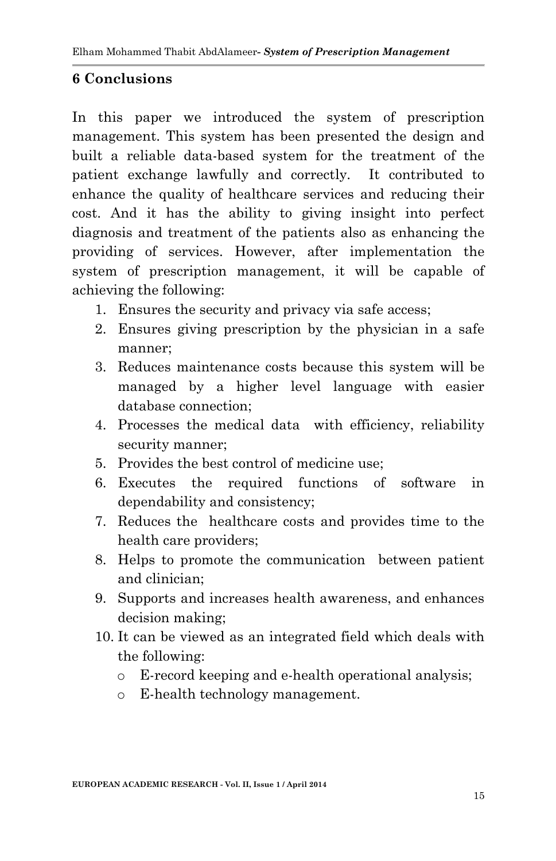### **6 Conclusions**

In this paper we introduced the system of prescription management. This system has been presented the design and built a reliable data-based system for the treatment of the patient exchange lawfully and correctly. It contributed to enhance the quality of healthcare services and reducing their cost. And it has the ability to giving insight into perfect diagnosis and treatment of the patients also as enhancing the providing of services. However, after implementation the system of prescription management, it will be capable of achieving the following:

- 1. Ensures the security and privacy via safe access;
- 2. Ensures giving prescription by the physician in a safe manner;
- 3. Reduces maintenance costs because this system will be managed by a higher level language with easier database connection;
- 4. Processes the medical data with efficiency, reliability security manner;
- 5. Provides the best control of medicine use;
- 6. Executes the required functions of software in dependability and consistency;
- 7. Reduces the healthcare costs and provides time to the health care providers;
- 8. Helps to promote the communication between patient and clinician;
- 9. Supports and increases health awareness, and enhances decision making;
- 10. It can be viewed as an integrated field which deals with the following:
	- o E-record keeping and e-health operational analysis;
	- o E-health technology management.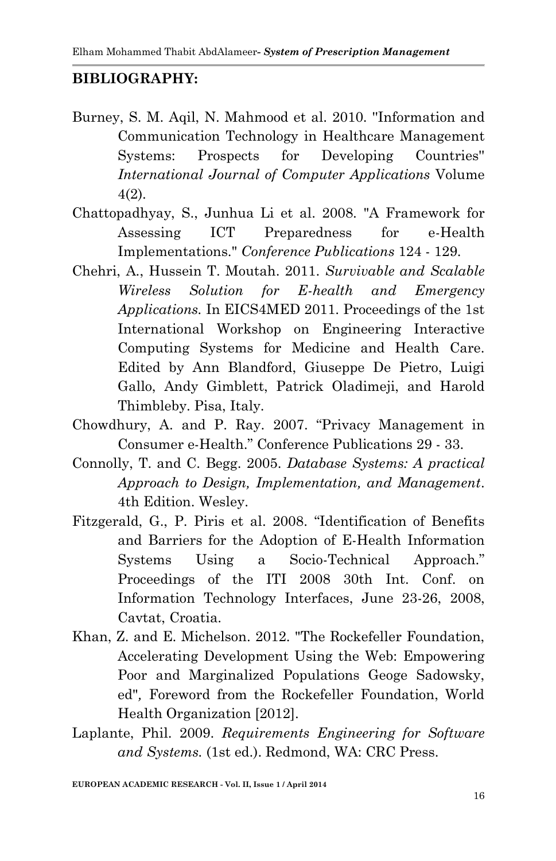### **BIBLIOGRAPHY:**

- Burney, S. M. Aqil, N. Mahmood et al. 2010. ''Information and Communication Technology in Healthcare Management Systems: Prospects for Developing Countries'' *International Journal of Computer Applications* Volume 4(2).
- Chattopadhyay, S., Junhua Li et al. 2008. "A Framework for Assessing ICT Preparedness for e-Health Implementations." *Conference Publications* 124 - 129.
- Chehri, A., Hussein T. Moutah. 2011. *Survivable and Scalable Wireless Solution for E-health and Emergency Applications.* In EICS4MED 2011. Proceedings of the 1st International Workshop on Engineering Interactive Computing Systems for Medicine and Health Care. Edited by Ann Blandford, Giuseppe De Pietro, Luigi Gallo, Andy Gimblett, Patrick Oladimeji, and Harold Thimbleby. Pisa, Italy.
- Chowdhury, A. and P. Ray. 2007. "Privacy Management in Consumer e-Health." Conference Publications 29 - 33.
- Connolly, T. and C. Begg. 2005. *Database Systems: A practical Approach to Design, Implementation, and Management*. 4th Edition. Wesley.
- Fitzgerald, G., P. Piris et al. 2008. "Identification of Benefits and Barriers for the Adoption of E-Health Information Systems Using a Socio-Technical Approach." Proceedings of the ITI 2008 30th Int. Conf. on Information Technology Interfaces, June 23-26, 2008, Cavtat, Croatia.
- Khan, Z. and E. Michelson. 2012. "The Rockefeller Foundation, Accelerating Development Using the Web: Empowering Poor and Marginalized Populations Geoge Sadowsky, ed"*,* Foreword from the Rockefeller Foundation, World Health Organization [2012].
- Laplante, Phil. 2009. *Requirements Engineering for Software and Systems.* (1st ed.). Redmond, WA: CRC Press.